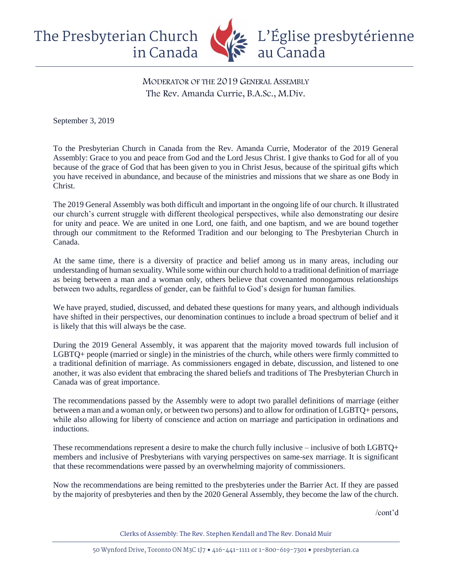

MODERATOR OF THE 2019 GENERAL ASSEMBLY The Rev. Amanda Currie, B.A.Sc., M.Div.

September 3, 2019

To the Presbyterian Church in Canada from the Rev. Amanda Currie, Moderator of the 2019 General Assembly: Grace to you and peace from God and the Lord Jesus Christ. I give thanks to God for all of you because of the grace of God that has been given to you in Christ Jesus, because of the spiritual gifts which you have received in abundance, and because of the ministries and missions that we share as one Body in Christ.

The 2019 General Assembly was both difficult and important in the ongoing life of our church. It illustrated our church's current struggle with different theological perspectives, while also demonstrating our desire for unity and peace. We are united in one Lord, one faith, and one baptism, and we are bound together through our commitment to the Reformed Tradition and our belonging to The Presbyterian Church in Canada.

At the same time, there is a diversity of practice and belief among us in many areas, including our understanding of human sexuality. While some within our church hold to a traditional definition of marriage as being between a man and a woman only, others believe that covenanted monogamous relationships between two adults, regardless of gender, can be faithful to God's design for human families.

We have prayed, studied, discussed, and debated these questions for many years, and although individuals have shifted in their perspectives, our denomination continues to include a broad spectrum of belief and it is likely that this will always be the case.

During the 2019 General Assembly, it was apparent that the majority moved towards full inclusion of LGBTQ+ people (married or single) in the ministries of the church, while others were firmly committed to a traditional definition of marriage. As commissioners engaged in debate, discussion, and listened to one another, it was also evident that embracing the shared beliefs and traditions of The Presbyterian Church in Canada was of great importance.

The recommendations passed by the Assembly were to adopt two parallel definitions of marriage (either between a man and a woman only, or between two persons) and to allow for ordination of LGBTQ+ persons, while also allowing for liberty of conscience and action on marriage and participation in ordinations and inductions.

These recommendations represent a desire to make the church fully inclusive – inclusive of both LGBTQ+ members and inclusive of Presbyterians with varying perspectives on same-sex marriage. It is significant that these recommendations were passed by an overwhelming majority of commissioners.

Now the recommendations are being remitted to the presbyteries under the Barrier Act. If they are passed by the majority of presbyteries and then by the 2020 General Assembly, they become the law of the church.

/cont'd

Clerks of Assembly: The Rev. Stephen Kendall and The Rev. Donald Muir